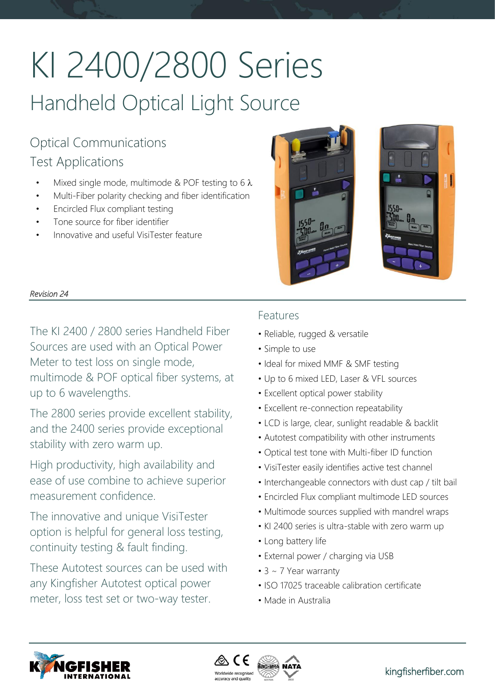# KI 2400/2800 Series Handheld Optical Light Source

# Optical Communications Test Applications

- Mixed single mode, multimode & POF testing to 6  $\lambda$
- Multi-Fiber polarity checking and fiber identification
- Encircled Flux compliant testing
- Tone source for fiber identifier
- Innovative and useful VisiTester feature



# *Revision 24*

The KI 2400 / 2800 series Handheld Fiber Sources are used with an Optical Power Meter to test loss on single mode, multimode & POF optical fiber systems, at up to 6 wavelengths.

The 2800 series provide excellent stability, and the 2400 series provide exceptional stability with zero warm up.

High productivity, high availability and ease of use combine to achieve superior measurement confidence.

The innovative and unique VisiTester option is helpful for general loss testing, continuity testing & fault finding.

These Autotest sources can be used with any Kingfisher Autotest optical power meter, loss test set or two-way tester.

# Features

- Reliable, rugged & versatile
- Simple to use
- Ideal for mixed MMF & SMF testing
- Up to 6 mixed LED, Laser & VFL sources
- Excellent optical power stability
- Excellent re-connection repeatability
- LCD is large, clear, sunlight readable & backlit
- Autotest compatibility with other instruments
- Optical test tone with Multi-fiber ID function
- VisiTester easily identifies active test channel
- Interchangeable connectors with dust cap / tilt bail
- Encircled Flux compliant multimode LED sources
- Multimode sources supplied with mandrel wraps
- KI 2400 series is ultra-stable with zero warm up
- Long battery life
- External power / charging via USB
- 3 ~ 7 Year warranty
- ISO 17025 traceable calibration certificate
- Made in Australia



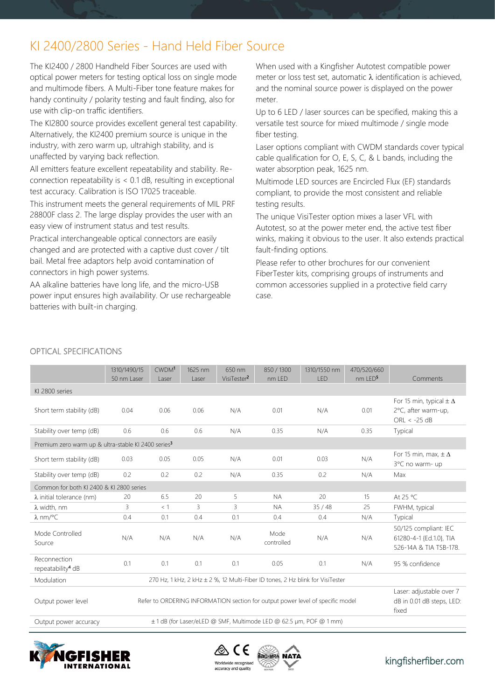# KI 2400/2800 Series - Hand Held Fiber Source

The KI2400 / 2800 Handheld Fiber Sources are used with optical power meters for testing optical loss on single mode and multimode fibers. A Multi-Fiber tone feature makes for handy continuity / polarity testing and fault finding, also for use with clip-on traffic identifiers.

The KI2800 source provides excellent general test capability. Alternatively, the KI2400 premium source is unique in the industry, with zero warm up, ultrahigh stability, and is unaffected by varying back reflection.

All emitters feature excellent repeatability and stability. Reconnection repeatability is < 0.1 dB, resulting in exceptional test accuracy. Calibration is ISO 17025 traceable.

This instrument meets the general requirements of MIL PRF 28800F class 2. The large display provides the user with an easy view of instrument status and test results.

Practical interchangeable optical connectors are easily changed and are protected with a captive dust cover / tilt bail. Metal free adaptors help avoid contamination of connectors in high power systems.

AA alkaline batteries have long life, and the micro-USB power input ensures high availability. Or use rechargeable batteries with built-in charging.

When used with a Kingfisher Autotest compatible power meter or loss test set, automatic  $\lambda$  identification is achieved, and the nominal source power is displayed on the power meter.

Up to 6 LED / laser sources can be specified, making this a versatile test source for mixed multimode / single mode fiber testing.

Laser options compliant with CWDM standards cover typical cable qualification for O, E, S, C, & L bands, including the water absorption peak, 1625 nm.

Multimode LED sources are Encircled Flux (EF) standards compliant, to provide the most consistent and reliable testing results.

The unique VisiTester option mixes a laser VFL with Autotest, so at the power meter end, the active test fiber winks, making it obvious to the user. It also extends practical fault-finding options.

Please refer to other brochures for our convenient FiberTester kits, comprising groups of instruments and common accessories supplied in a protective field carry case.

|                                                                                                      | 1310/1490/15<br>50 nm Laser                                                    | CWDM <sup>1</sup><br>Laser | 1625 nm<br>Laser | 650 nm<br>VisiTester <sup>2</sup> | 850 / 1300<br>nm LED                                           | 1310/1550 nm<br>LED | 470/520/660<br>nm LED <sup>5</sup> | Comments                                                                   |
|------------------------------------------------------------------------------------------------------|--------------------------------------------------------------------------------|----------------------------|------------------|-----------------------------------|----------------------------------------------------------------|---------------------|------------------------------------|----------------------------------------------------------------------------|
| KI 2800 series                                                                                       |                                                                                |                            |                  |                                   |                                                                |                     |                                    |                                                                            |
| Short term stability (dB)                                                                            | 0.04                                                                           | 0.06                       | 0.06             | N/A                               | 0.01                                                           | N/A                 | 0.01                               | For 15 min, typical $\pm \Delta$<br>2°C, after warm-up,<br>ORL $< -25$ dB  |
| Stability over temp (dB)                                                                             | 0.6                                                                            | 0.6                        | 0.6              | N/A                               | 0.35                                                           | N/A                 | 0.35                               | Typical                                                                    |
| Premium zero warm up & ultra-stable KI 2400 series <sup>3</sup>                                      |                                                                                |                            |                  |                                   |                                                                |                     |                                    |                                                                            |
| Short term stability (dB)                                                                            | 0.03                                                                           | 0.05                       | 0.05             | N/A                               | 0.01                                                           | 0.03                | N/A                                | For 15 min, max, $\pm \Delta$<br>3°C no warm- up                           |
| Stability over temp (dB)                                                                             | 0.2                                                                            | 0.2                        | 0.2              | N/A                               | 0.35                                                           | 0.2                 | N/A                                | Max                                                                        |
| Common for both KI 2400 & KI 2800 series                                                             |                                                                                |                            |                  |                                   |                                                                |                     |                                    |                                                                            |
| $\lambda$ initial tolerance (nm)                                                                     | 20                                                                             | 6.5                        | 20               | 5                                 | <b>NA</b>                                                      | 20                  | 15                                 | At 25 °C                                                                   |
| $\lambda$ width, nm                                                                                  | 3                                                                              | < 1                        | 3                | 3                                 | <b>NA</b>                                                      | 35/48               | 25                                 | FWHM, typical                                                              |
| $\lambda$ nm/°C                                                                                      | 0.4                                                                            | 0.1                        | 0.4              | 0.1                               | 0.4                                                            | 0.4                 | N/A                                | Typical                                                                    |
| Mode Controlled<br>Source                                                                            | N/A                                                                            | N/A                        | N/A              | N/A                               | Mode<br>controlled                                             | N/A                 | N/A                                | 50/125 compliant: IEC<br>61280-4-1 {Ed.1.0}, TIA<br>526-14A & TIA TSB-178. |
| Reconnection<br>repeatability <sup>4</sup> dB                                                        | 0.1                                                                            | 0.1                        | 0.1              | 0.1                               | 0.05                                                           | 0.1                 | N/A                                | 95 % confidence                                                            |
| Modulation                                                                                           | 270 Hz, 1 kHz, 2 kHz ± 2 %, 12 Multi-Fiber ID tones, 2 Hz blink for VisiTester |                            |                  |                                   |                                                                |                     |                                    |                                                                            |
| Output power level<br>Refer to ORDERING INFORMATION section for output power level of specific model |                                                                                |                            |                  |                                   | Laser: adjustable over 7<br>dB in 0.01 dB steps, LED:<br>fixed |                     |                                    |                                                                            |
| ± 1 dB (for Laser/eLED @ SMF, Multimode LED @ 62.5 µm, POF @ 1 mm)<br>Output power accuracy          |                                                                                |                            |                  |                                   |                                                                |                     |                                    |                                                                            |

# OPTICAL SPECIFICATIONS



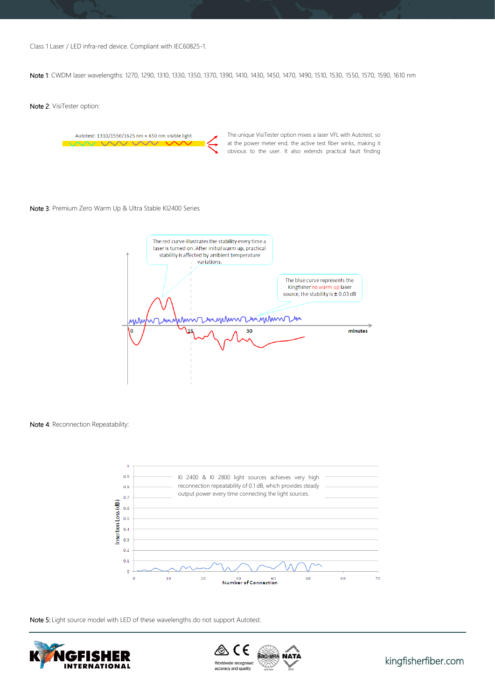Class 1 Laser / LED infra-red device. Compliant with IEC60825-1.

Note 1: CWDM laser wavelengths: 1270, 1290, 1310, 1330, 1350, 1370, 1390, 1410, 1430, 1450, 1470, 1490, 1510, 1530, 1550, 1570, 1590, 1610 nm

Note 2: VisiTester option:

Autotest: 1310/1550/1625 nm + 650 nm visible light

The unique VisiTester option mixes a laser VFL with Autotest, so at the power meter end, the active test fiber winks, making it obvious to the user. It also extends practical fault finding

#### Note 3: Premium Zero Warm Up & Ultra Stable KI2400 Series



Note 4: Reconnection Repeatability:



Note 5: Light source model with LED of these wavelengths do not support Autotest.





[kingfisherfiber.com](http://www.kingfisherfiber.com/)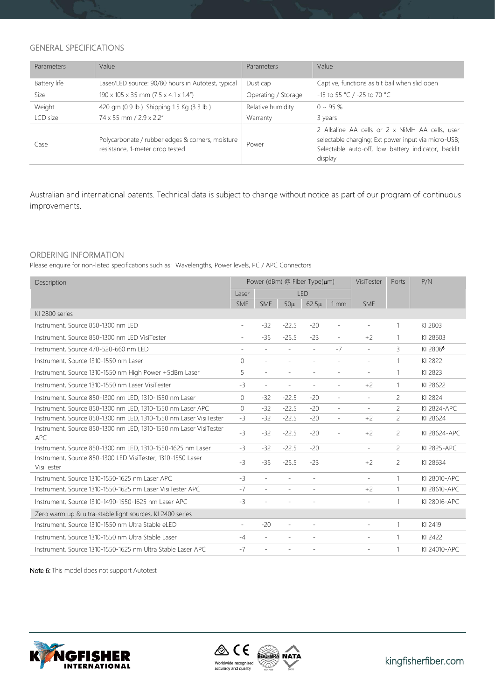# GENERAL SPECIFICATIONS

| Parameters   | Value                                                                               | Parameters          | Value                                                                                                                                                                   |
|--------------|-------------------------------------------------------------------------------------|---------------------|-------------------------------------------------------------------------------------------------------------------------------------------------------------------------|
| Battery life | Laser/LED source: 90/80 hours in Autotest, typical                                  | Dust cap            | Captive, functions as tilt bail when slid open                                                                                                                          |
| Size         | 190 x 105 x 35 mm (7.5 x 4.1 x 1.4")                                                | Operating / Storage | -15 to 55 °C / -25 to 70 °C                                                                                                                                             |
| Weight       | 420 gm (0.9 lb.). Shipping 1.5 Kg (3.3 lb.)                                         | Relative humidity   | $0 \sim 95 \%$                                                                                                                                                          |
| LCD size     | 74 x 55 mm / 2.9 x 2.2"                                                             | Warranty            | 3 years                                                                                                                                                                 |
| Case         | Polycarbonate / rubber edges & corners, moisture<br>resistance, 1-meter drop tested | Power               | 2 Alkaline AA cells or 2 x NiMH AA cells, user<br>selectable charging; Ext power input via micro-USB;<br>Selectable auto-off, low battery indicator, backlit<br>display |

Australian and international patents. Technical data is subject to change without notice as part of our program of continuous improvements.

## ORDERING INFORMATION

Please enquire for non-listed specifications such as: Wavelengths, Power levels, PC / APC Connectors

| Description                                                               | Power (dBm) @ Fiber Type(um) |                          |                          | VisiTester               | <b>Ports</b>             | P/N                      |                |                      |
|---------------------------------------------------------------------------|------------------------------|--------------------------|--------------------------|--------------------------|--------------------------|--------------------------|----------------|----------------------|
|                                                                           | Laser                        | LED                      |                          |                          |                          |                          |                |                      |
|                                                                           | <b>SMF</b>                   | <b>SMF</b>               | $50\mu$                  | $62.5\mu$                | 1mm                      | <b>SMF</b>               |                |                      |
| KI 2800 series                                                            |                              |                          |                          |                          |                          |                          |                |                      |
| Instrument, Source 850-1300 nm LED                                        | $\sim$                       | $-32$                    | $-22.5$                  | $-20$                    | $\overline{\phantom{a}}$ | $\overline{\phantom{a}}$ | 1              | KI 2803              |
| Instrument, Source 850-1300 nm LED VisiTester                             | $\sim$                       | $-35$                    | $-25.5$                  | $-23$                    | $\equiv$                 | $+2$                     | 1              | KI 28603             |
| Instrument, Source 470-520-660 nm LED                                     | $\sim$                       | ÷,                       | ÷                        | $\sim$                   | $-7$                     | $\overline{\phantom{a}}$ | 3              | KI 2806 <sup>6</sup> |
| Instrument, Source 1310-1550 nm Laser                                     | $\circ$                      | $\sim$                   | ÷.                       | $\sim$                   | $\sim$                   | $\overline{\phantom{a}}$ | $\mathbf{1}$   | KI 2822              |
| Instrument, Source 1310-1550 nm High Power +5dBm Laser                    | 5                            | $\overline{\phantom{a}}$ | $\overline{a}$           | $\overline{\phantom{a}}$ | $\overline{\phantom{a}}$ | $\overline{\phantom{a}}$ | 1              | KI 2823              |
| Instrument, Source 1310-1550 nm Laser VisiTester                          | $-3$                         | $\overline{\phantom{a}}$ | $\sim$                   |                          | $\equiv$                 | $+2$                     | 1              | KI 28622             |
| Instrument, Source 850-1300 nm LED, 1310-1550 nm Laser                    | $\circ$                      | $-32$                    | $-22.5$                  | $-20$                    | $\sim$                   | $\overline{\phantom{a}}$ | $\overline{c}$ | KI 2824              |
| Instrument, Source 850-1300 nm LED, 1310-1550 nm Laser APC                | $\circ$                      | $-32$                    | $-22.5$                  | $-20$                    | $\overline{\phantom{a}}$ | $\equiv$                 | $\overline{a}$ | KI 2824-APC          |
| Instrument, Source 850-1300 nm LED, 1310-1550 nm Laser VisiTester         | $-3$                         | $-32$                    | $-22.5$                  | $-20$                    | $\overline{\phantom{a}}$ | $+2$                     | 2              | KI 28624             |
| Instrument, Source 850-1300 nm LED, 1310-1550 nm Laser VisiTester<br>APC. | $-3$                         | $-32$                    | $-22.5$                  | $-20$                    |                          | $+2$                     | $\overline{c}$ | KI 28624-APC         |
| Instrument, Source 850-1300 nm LED, 1310-1550-1625 nm Laser               | -3                           | $-32$                    | $-22.5$                  | $-20$                    |                          | $\bar{ }$                | $\overline{c}$ | KI 2825-APC          |
| Instrument, Source 850-1300 LED VisiTester, 1310-1550 Laser<br>VisiTester | $-3$                         | $-35$                    | $-25.5$                  | $-23$                    |                          | $+2$                     | $\overline{c}$ | KI 28634             |
| Instrument, Source 1310-1550-1625 nm Laser APC                            | $-3$                         | $\sim$                   | $\sim$                   | $\overline{\phantom{a}}$ |                          | $\overline{\phantom{a}}$ | 1              | KI 28010-APC         |
| Instrument, Source 1310-1550-1625 nm Laser VisiTester APC                 | $-7$                         | $\overline{\phantom{a}}$ | $\overline{\phantom{a}}$ | $\overline{\phantom{a}}$ |                          | $+2$                     | 1              | KI 28610-APC         |
| Instrument, Source 1310-1490-1550-1625 nm Laser APC                       | $-3$                         | $\overline{\phantom{a}}$ |                          |                          |                          | $\overline{\phantom{a}}$ | 1              | KI 28016-APC         |
| Zero warm up & ultra-stable light sources, KI 2400 series                 |                              |                          |                          |                          |                          |                          |                |                      |
| Instrument, Source 1310-1550 nm Ultra Stable eLED                         | $\overline{\phantom{a}}$     | $-20$                    | $\equiv$                 | $\sim$                   |                          | $\overline{\phantom{a}}$ | $\mathbf{1}$   | KI 2419              |
| Instrument, Source 1310-1550 nm Ultra Stable Laser                        | $-4$                         | $\sim$                   |                          | $\overline{a}$           |                          | $\overline{\phantom{a}}$ | $\mathbf{1}$   | KI 2422              |
| Instrument, Source 1310-1550-1625 nm Ultra Stable Laser APC               | $-7$                         | ÷                        | $\equiv$                 | $\overline{\phantom{a}}$ |                          | $\overline{\phantom{a}}$ | 1              | KI 24010-APC         |

Note 6: This model does not support Autotest